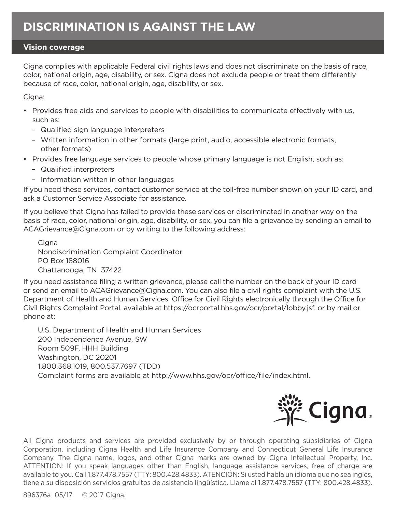## **Vision coverage**

Cigna complies with applicable Federal civil rights laws and does not discriminate on the basis of race, color, national origin, age, disability, or sex. Cigna does not exclude people or treat them differently because of race, color, national origin, age, disability, or sex.

Cigna:

- Provides free aids and services to people with disabilities to communicate effectively with us, such as:
	- Qualified sign language interpreters
	- Written information in other formats (large print, audio, accessible electronic formats, other formats)
- Provides free language services to people whose primary language is not English, such as:
	- Qualified interpreters
	- Information written in other languages

If you need these services, contact customer service at the toll-free number shown on your ID card, and ask a Customer Service Associate for assistance.

If you believe that Cigna has failed to provide these services or discriminated in another way on the basis of race, color, national origin, age, disability, or sex, you can file a grievance by sending an email to ACAGrievance@Cigna.com or by writing to the following address:

Cigna Nondiscrimination Complaint Coordinator PO Box 188016 Chattanooga, TN 37422

If you need assistance filing a written grievance, please call the number on the back of your ID card or send an email to ACAGrievance@Cigna.com. You can also file a civil rights complaint with the U.S. Department of Health and Human Services, Office for Civil Rights electronically through the Office for Civil Rights Complaint Portal, available at https://ocrportal.hhs.gov/ocr/portal/lobby.jsf, or by mail or phone at:

U.S. Department of Health and Human Services 200 Independence Avenue, SW Room 509F, HHH Building Washington, DC 20201 1.800.368.1019, 800.537.7697 (TDD) Complaint forms are available at http://www.hhs.gov/ocr/office/file/index.html.



All Cigna products and services are provided exclusively by or through operating subsidiaries of Cigna Corporation, including Cigna Health and Life Insurance Company and Connecticut General Life Insurance Company. The Cigna name, logos, and other Cigna marks are owned by Cigna Intellectual Property, Inc. ATTENTION: If you speak languages other than English, language assistance services, free of charge are available to you. Call 1.877.478.7557 (TTY: 800.428.4833). ATENCIÓN: Si usted habla un idioma que no sea inglés, tiene a su disposición servicios gratuitos de asistencia lingüística. Llame al 1.877.478.7557 (TTY: 800.428.4833).

896376a 05/17 © 2017 Cigna.